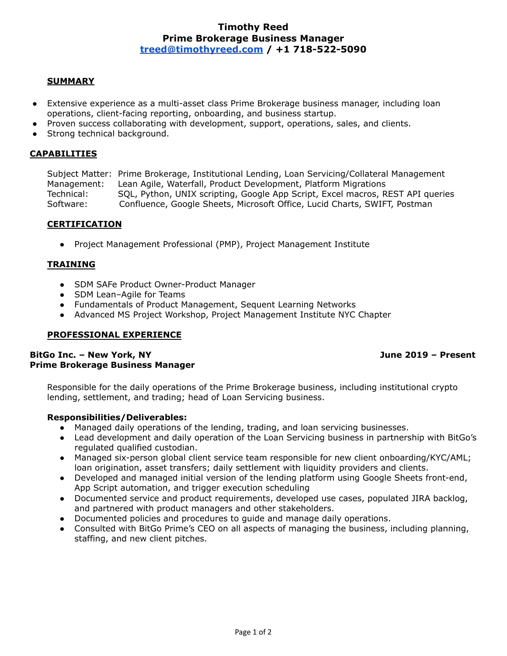# **Timothy Reed Prime Brokerage Business Manager [treed@timothyreed.com](mailto:treed@timothyreed.com) / +1 718-522-5090**

#### **SUMMARY**

- Extensive experience as a multi-asset class Prime Brokerage business manager, including loan operations, client-facing reporting, onboarding, and business startup.
- Proven success collaborating with development, support, operations, sales, and clients.
- Strong technical background.

#### **CAPABILITIES**

Subject Matter: Prime Brokerage, Institutional Lending, Loan Servicing/Collateral Management Management: Lean Agile, Waterfall, Product Development, Platform Migrations Technical: SQL, Python, UNIX scripting, Google App Script, Excel macros, REST API queries Software: Confluence, Google Sheets, Microsoft Office, Lucid Charts, SWIFT, Postman

## **CERTIFICATION**

● Project Management Professional (PMP), Project Management Institute

#### **TRAINING**

- SDM SAFe Product Owner-Product Manager
- SDM Lean-Agile for Teams
- Fundamentals of Product Management, Sequent Learning Networks
- Advanced MS Project Workshop, Project Management Institute NYC Chapter

#### **PROFESSIONAL EXPERIENCE**

## **BitGo Inc. – New York, NY June 2019 – Present Prime Brokerage Business Manager**

Responsible for the daily operations of the Prime Brokerage business, including institutional crypto lending, settlement, and trading; head of Loan Servicing business.

## **Responsibilities/Deliverables:**

- Managed daily operations of the lending, trading, and loan servicing businesses.
- Lead development and daily operation of the Loan Servicing business in partnership with BitGo's regulated qualified custodian.
- Managed six-person global client service team responsible for new client onboarding/KYC/AML; loan origination, asset transfers; daily settlement with liquidity providers and clients.
- Developed and managed initial version of the lending platform using Google Sheets front-end, App Script automation, and trigger execution scheduling
- Documented service and product requirements, developed use cases, populated JIRA backlog, and partnered with product managers and other stakeholders.
- Documented policies and procedures to guide and manage daily operations.
- Consulted with BitGo Prime's CEO on all aspects of managing the business, including planning, staffing, and new client pitches.